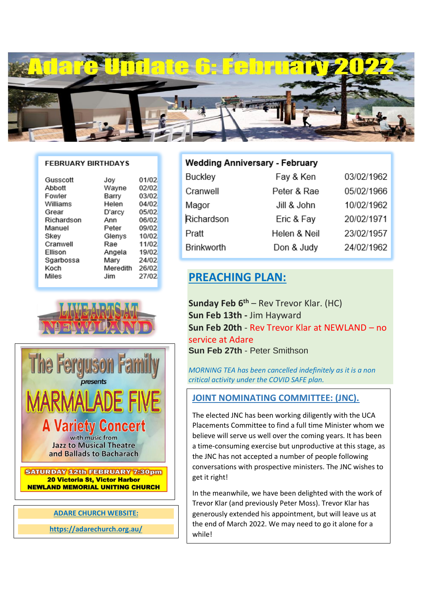

#### **FEBRUARY BIRTHDAYS**

| Gusscott   | Joy      | 01/02 |
|------------|----------|-------|
| Abbott     | Wayne    | 02/02 |
| Fowler     | Barry    | 03/02 |
| Williams   | Helen    | 04/02 |
| Grear      | D'arcy   | 05/02 |
| Richardson | Ann      | 06/02 |
| Manuel     | Peter    | 09/02 |
| Skev       | Glenys   | 10/02 |
| Cranwell   | Rae      | 11/02 |
| Ellison    | Angela   | 19/02 |
| Sgarbossa  | Mary     | 24/02 |
|            |          |       |
| Koch       | Meredith | 26/02 |
| Miles      | Jim      | 27/02 |





### **ADARE CHURCH WEBSITE:**

**https://adarechurch.org.au/**

## **Wedding Anniversary - February**

| Buckley           | Fay & Ken    | 03/02/1962 |
|-------------------|--------------|------------|
| Cranwell          | Peter & Rae  | 05/02/1966 |
| Magor             | Jill & John  | 10/02/1962 |
| Richardson        | Eric & Fay   | 20/02/1971 |
| Pratt             | Helen & Neil | 23/02/1957 |
| <b>Brinkworth</b> | Don & Judy   | 24/02/1962 |

## ` **PREACHING PLAN:**

**Sunday Feb 6th** – Rev Trevor Klar. (HC) **Sun Feb 13th -** Jim Hayward **Sun Feb 20th** - Rev Trevor Klar at NEWLAND – no service at Adare **Sun Feb 27th** - Peter Smithson

*MORNING TEA has been cancelled indefinitely as it is a non critical activity under the COVID SAFE plan.*

## **JOINT NOMINATING COMMITTEE: (JNC).**

The elected JNC has been working diligently with the UCA Placements Committee to find a full time Minister whom we believe will serve us well over the coming years. It has been a time-consuming exercise but unproductive at this stage, as the JNC has not accepted a number of people following conversations with prospective ministers. The JNC wishes to get it right!

In the meanwhile, we have been delighted with the work of Trevor Klar (and previously Peter Moss). Trevor Klar has generously extended his appointment, but will leave us at the end of March 2022. We may need to go it alone for a while!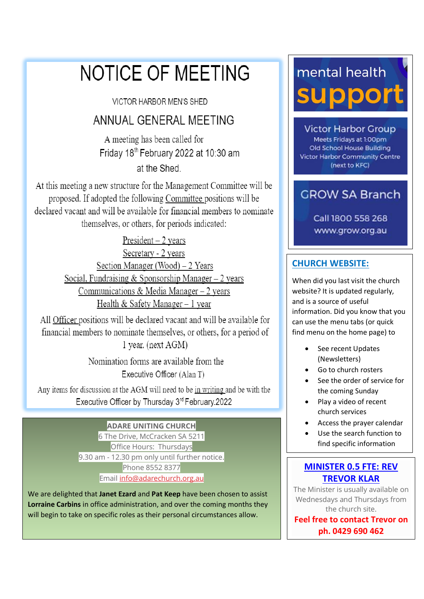# NOTICE OF MEETING

**VICTOR HARBOR MEN'S SHED** 

## ANNUAL GENERAL MEETING

A meeting has been called for Friday 18th February 2022 at 10:30 am at the Shed.

At this meeting a new structure for the Management Committee will be proposed. If adopted the following Committee positions will be declared vacant and will be available for financial members to nominate themselves, or others, for periods indicated:

> President  $-2$  years Secretary - 2 years Section Manager (Wood) - 2 Years Social, Fundraising & Sponsorship Manager  $-2$  years Communications & Media Manager - 2 years Health & Safety Manager  $-1$  year

All Officer positions will be declared vacant and will be available for financial members to nominate themselves, or others, for a period of 1 year. (next AGM)

> Nomination forms are available from the Executive Officer (Alan T)

Any items for discussion at the AGM will need to be in writing and be with the Executive Officer by Thursday 3rd February.2022

> **ADARE UNITING CHURCH** 6 The Drive, McCracken SA 5211 Office Hours: Thursdays 9.30 am - 12.30 pm only until further notice. Phone 8552 8377 Email [info@adarechurch.org.au](mailto:info@adarechurch.org.au)

We are delighted that **Janet Ezard** and **Pat Keep** have been chosen to assist **Lorraine Carbins** in office administration, and over the coming months they will begin to take on specific roles as their personal circumstances allow.

# mental health support

**Victor Harbor Group** Meets Fridays at 1:00pm Old School House Building **Victor Harbor Community Centre** (next to KFC)

## **GROW SA Branch**

Call 1800 558 268 www.grow.org.au

## **CHURCH WEBSITE:**

When did you last visit the church website? It is updated regularly, and is a source of useful information. Did you know that you can use the menu tabs (or quick find menu on the home page) to

- See recent Updates (Newsletters)
- Go to church rosters
- See the order of service for the coming Sunday
- Play a video of recent church services
- Access the prayer calendar
- Use the search function to find specific information

## **MINISTER 0.5 FTE: REV TREVOR KLAR**

The Minister is usually available on Wednesdays and Thursdays from the church site.

**Feel free to contact Trevor on ph. 0429 690 462**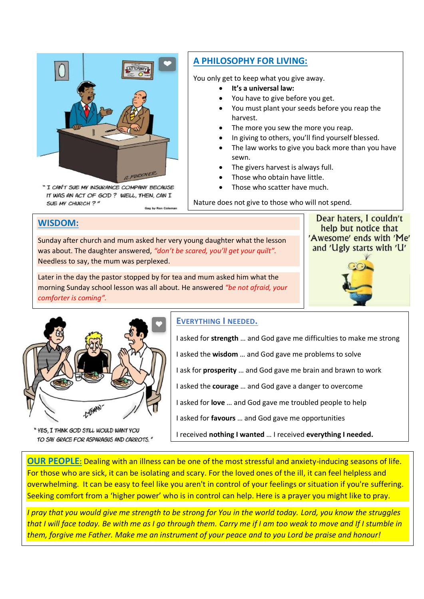

" I CAN'T SUE MY INSURANCE COMPANY BECAUSE IT WAS AN ACT OF GOD? WELL, THEN, CAN I SUE MY CHURCH ?" Gag by Ron Co

## **A PHILOSOPHY FOR LIVING:**

You only get to keep what you give away.

- **It's a universal law:**
- You have to give before you get.
- You must plant your seeds before you reap the harvest.
- The more you sew the more you reap.
- In giving to others, you'll find yourself blessed.
- The law works to give you back more than you have sewn.
- The givers harvest is always full.
- Those who obtain have little.
- Those who scatter have much.

Nature does not give to those who will not spend.

### **WISDOM:**

Sunday after church and mum asked her very young daughter what the lesson was about. The daughter answered, *"don't be scared, you'll get your quilt".* Needless to say, the mum was perplexed.

Later in the day the pastor stopped by for tea and mum asked him what the morning Sunday school lesson was all about. He answered *"be not afraid, your comforter is coming".* 

Dear haters, I couldn't help but notice that 'Awesome' ends with 'Me' and 'Ugly starts with 'U'





"YES, I THINK GOD STILL WOULD WANT YOU TO SAY GRACE FOR ASPARAGUS AND CARROTS."

## **EVERYTHING I NEEDED.**

I asked for **strength** … and God gave me difficulties to make me strong I asked the **wisdom** … and God gave me problems to solve I ask for **prosperity** … and God gave me brain and brawn to work I asked the **courage** … and God gave a danger to overcome I asked for **love** … and God gave me troubled people to help I asked for **favours** … and God gave me opportunities I received **nothing I wanted** … I received **everything I needed.**

**OUR PEOPLE:** Dealing with an illness can be one of the most stressful and anxiety-inducing seasons of life. For those who are sick, it can be isolating and scary. For the loved ones of the ill, it can feel helpless and overwhelming. It can be easy to feel like you aren't in control of your feelings or situation if you're suffering. Seeking comfort from a 'higher power' who is in control can help. Here is a prayer you might like to pray.

*I pray that you would give me strength to be strong for You in the world today. Lord, you know the struggles that I will face today. Be with me as I go through them. Carry me if I am too weak to move and If I stumble in them, forgive me Father. Make me an instrument of your peace and to you Lord be praise and honour!*